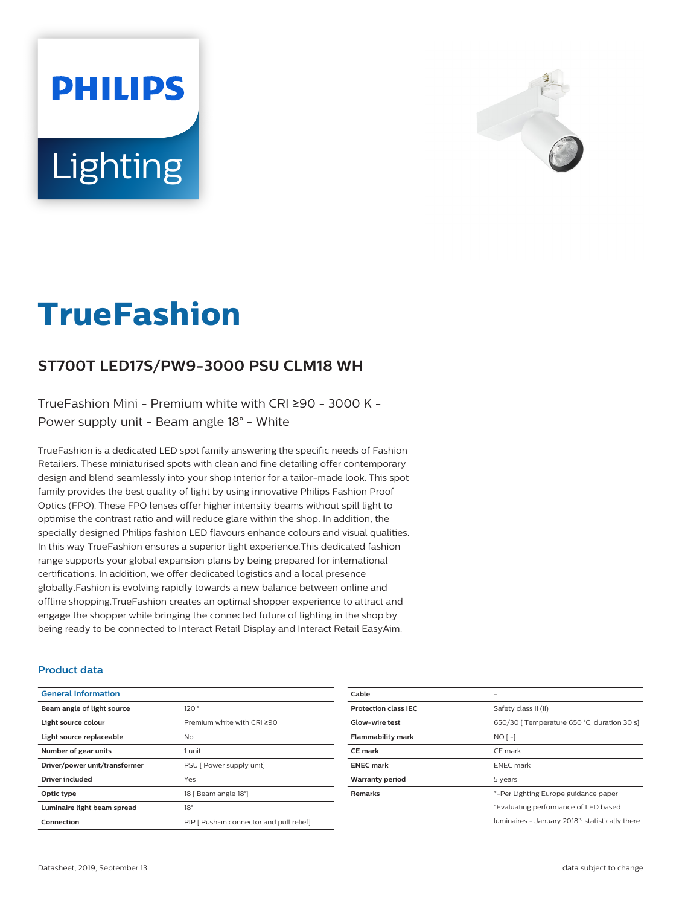# **PHILIPS Lighting**



# **TrueFashion**

# **ST700T LED17S/PW9-3000 PSU CLM18 WH**

TrueFashion Mini - Premium white with CRI ≥90 - 3000 K - Power supply unit - Beam angle 18° - White

TrueFashion is a dedicated LED spot family answering the specific needs of Fashion Retailers. These miniaturised spots with clean and fine detailing offer contemporary design and blend seamlessly into your shop interior for a tailor-made look. This spot family provides the best quality of light by using innovative Philips Fashion Proof Optics (FPO). These FPO lenses offer higher intensity beams without spill light to optimise the contrast ratio and will reduce glare within the shop. In addition, the specially designed Philips fashion LED flavours enhance colours and visual qualities. In this way TrueFashion ensures a superior light experience.This dedicated fashion range supports your global expansion plans by being prepared for international certifications. In addition, we offer dedicated logistics and a local presence globally.Fashion is evolving rapidly towards a new balance between online and offline shopping.TrueFashion creates an optimal shopper experience to attract and engage the shopper while bringing the connected future of lighting in the shop by being ready to be connected to Interact Retail Display and Interact Retail EasyAim.

#### **Product data**

| <b>General Information</b>    |                                          |
|-------------------------------|------------------------------------------|
| Beam angle of light source    | 120°                                     |
| Light source colour           | Premium white with CRI ≥90               |
| Light source replaceable      | No.                                      |
| Number of gear units          | 1 unit                                   |
| Driver/power unit/transformer | PSU [ Power supply unit]                 |
| <b>Driver included</b>        | Yes                                      |
| Optic type                    | 18   Beam angle 18°]                     |
| Luminaire light beam spread   | $18^{\circ}$                             |
| Connection                    | PIP [ Push-in connector and pull relief] |

| Cable                       |                                                 |
|-----------------------------|-------------------------------------------------|
| <b>Protection class IEC</b> | Safety class II (II)                            |
| <b>Glow-wire test</b>       | 650/30   Temperature 650 °C, duration 30 s]     |
| <b>Flammability mark</b>    | $NO$ [ -]                                       |
| <b>CE</b> mark              | CE mark                                         |
| <b>ENEC mark</b>            | <b>ENEC</b> mark                                |
| <b>Warranty period</b>      | 5 years                                         |
| <b>Remarks</b>              | *-Per Lighting Europe guidance paper            |
|                             | "Evaluating performance of LED based            |
|                             | luminaires - January 2018": statistically there |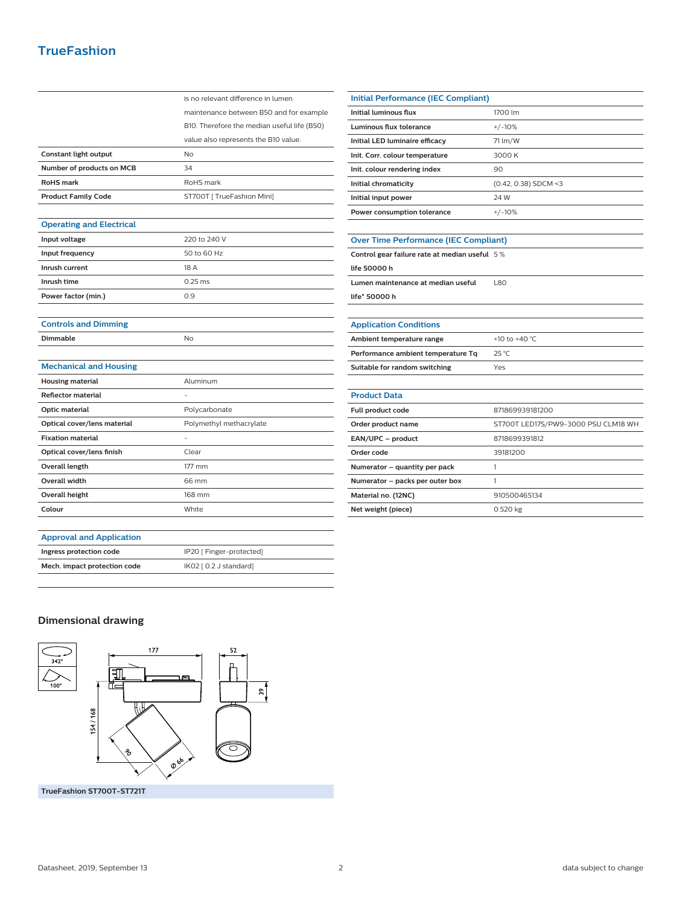## **TrueFashion**

|                                 | is no relevant difference in lumen          |
|---------------------------------|---------------------------------------------|
|                                 | maintenance between B50 and for example     |
|                                 | B10. Therefore the median useful life (B50) |
|                                 | value also represents the B10 value.        |
| Constant light output           | <b>No</b>                                   |
| Number of products on MCB       | 34                                          |
| <b>RoHS</b> mark                | RoHS mark                                   |
| <b>Product Family Code</b>      | ST700T [ TrueFashion Mini]                  |
|                                 |                                             |
| <b>Operating and Electrical</b> |                                             |
| Input voltage                   | 220 to 240 V                                |
| Input frequency                 | 50 to 60 Hz                                 |
| Inrush current                  | 18 A                                        |
| Inrush time                     | $0.25$ ms                                   |
| Power factor (min.)             | 0.9                                         |
|                                 |                                             |
| <b>Controls and Dimming</b>     |                                             |
| <b>Dimmable</b>                 | No                                          |
|                                 |                                             |
| <b>Mechanical and Housing</b>   |                                             |
| <b>Housing material</b>         | Aluminum                                    |
| <b>Reflector material</b>       |                                             |
| Optic material                  | Polycarbonate                               |
| Optical cover/lens material     | Polymethyl methacrylate                     |
| <b>Fixation material</b>        |                                             |
| Optical cover/lens finish       | Clear                                       |
| <b>Overall length</b>           | 177 mm                                      |
| <b>Overall width</b>            | 66 mm                                       |
| <b>Overall height</b>           | 168 mm                                      |
| Colour                          | White                                       |
|                                 |                                             |
|                                 |                                             |

| <b>Initial Performance (IEC Compliant)</b>   |                        |  |
|----------------------------------------------|------------------------|--|
| Initial luminous flux                        | 1700 lm                |  |
| Luminous flux tolerance                      | $+/-10%$               |  |
| Initial LED luminaire efficacy               | 71 lm/W                |  |
| Init. Corr. colour temperature               | 3000 K                 |  |
| Init. colour rendering index                 | 90                     |  |
| Initial chromaticity                         | $(0.42, 0.38)$ SDCM <3 |  |
| Initial input power                          | 24 W                   |  |
| Power consumption tolerance                  | $+/-10%$               |  |
|                                              |                        |  |
| <b>Over Time Performance (IEC Compliant)</b> |                        |  |
|                                              |                        |  |

| Control gear failure rate at median useful $\,$ 5 $\%$ |      |
|--------------------------------------------------------|------|
| life 50000 h                                           |      |
| Lumen maintenance at median useful                     | 1.80 |
| life* 50000 h                                          |      |
|                                                        |      |

| <b>Application Conditions</b>      |                                     |
|------------------------------------|-------------------------------------|
| Ambient temperature range          | +10 to +40 °C                       |
| Performance ambient temperature Tq | $25^{\circ}$ C                      |
| Suitable for random switching      | Yes                                 |
|                                    |                                     |
| <b>Product Data</b>                |                                     |
| Full product code                  | 871869939181200                     |
| Order product name                 | ST700T LED17S/PW9-3000 PSU CLM18 WH |
| EAN/UPC - product                  | 8718699391812                       |
| Order code                         | 39181200                            |
| Numerator – quantity per pack      |                                     |
| Numerator - packs per outer box    | 1                                   |
| Material no. (12NC)                | 910500465134                        |
| Net weight (piece)                 | 0.520 kg                            |

#### **Approval and Application**

| Ingress protection code      | IP20 [ Finger-protected] |
|------------------------------|--------------------------|
| Mech. impact protection code | IK02 [ 0.2 J standard]   |
|                              |                          |

#### **Dimensional drawing**